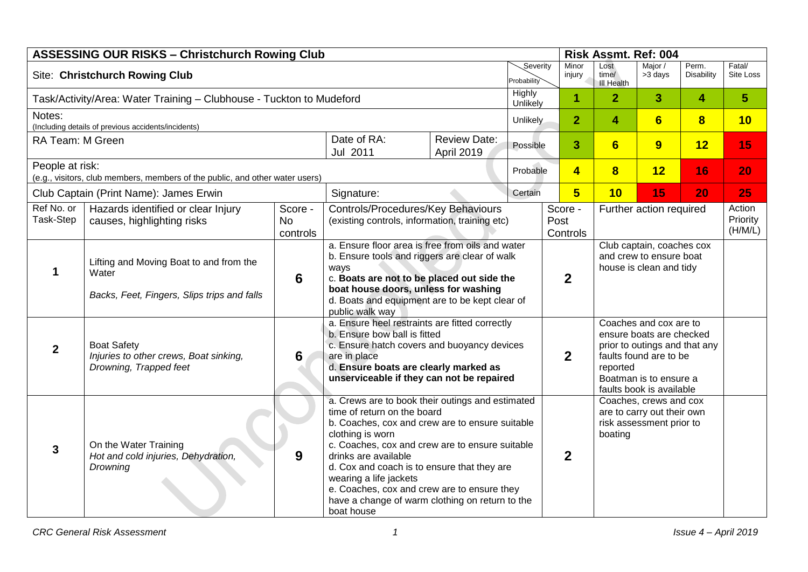| <b>ASSESSING OUR RISKS - Christchurch Rowing Club</b>                                           |                                                                                                 |                                  |                                                                                                                                                                                                                                                                                                                                                                                                                                                                                                                   |                                   |                         | Risk Assmt. Ref: 004 |                         |                                                                                                                                                                                 |                               |                            |                     |
|-------------------------------------------------------------------------------------------------|-------------------------------------------------------------------------------------------------|----------------------------------|-------------------------------------------------------------------------------------------------------------------------------------------------------------------------------------------------------------------------------------------------------------------------------------------------------------------------------------------------------------------------------------------------------------------------------------------------------------------------------------------------------------------|-----------------------------------|-------------------------|----------------------|-------------------------|---------------------------------------------------------------------------------------------------------------------------------------------------------------------------------|-------------------------------|----------------------------|---------------------|
| Site: Christchurch Rowing Club                                                                  |                                                                                                 |                                  |                                                                                                                                                                                                                                                                                                                                                                                                                                                                                                                   |                                   | Severity<br>Probability |                      | Minor<br>injury         | Lost<br>time/<br><b>III Health</b>                                                                                                                                              | Major /<br>>3 days            | Perm.<br><b>Disability</b> | Fatal/<br>Site Loss |
| Task/Activity/Area: Water Training - Clubhouse - Tuckton to Mudeford                            |                                                                                                 |                                  |                                                                                                                                                                                                                                                                                                                                                                                                                                                                                                                   |                                   |                         | Unlikely             | $\blacktriangleleft$    | $\overline{2}$                                                                                                                                                                  | 3                             | 4                          | $\overline{5}$      |
| Notes:                                                                                          |                                                                                                 |                                  |                                                                                                                                                                                                                                                                                                                                                                                                                                                                                                                   |                                   | Unlikely                |                      | $\overline{2}$          | 4                                                                                                                                                                               | 6                             | $\overline{\mathbf{8}}$    | 10                  |
| (Including details of previous accidents/incidents)<br>RA Team: M Green                         |                                                                                                 |                                  | Date of RA:<br>Jul 2011                                                                                                                                                                                                                                                                                                                                                                                                                                                                                           | <b>Review Date:</b><br>April 2019 |                         | 3<br>Possible        |                         | 6                                                                                                                                                                               | 9                             | 12                         | 15                  |
| People at risk:<br>(e.g., visitors, club members, members of the public, and other water users) |                                                                                                 |                                  |                                                                                                                                                                                                                                                                                                                                                                                                                                                                                                                   |                                   | Probable                |                      | $\overline{\mathbf{4}}$ | $\overline{\mathbf{8}}$                                                                                                                                                         | 12                            | 16                         | 20                  |
|                                                                                                 | Club Captain (Print Name): James Erwin                                                          |                                  | Signature:                                                                                                                                                                                                                                                                                                                                                                                                                                                                                                        |                                   | Certain                 |                      | $5\overline{}$          | 10                                                                                                                                                                              | 15                            | 20                         | 25                  |
| Ref No. or<br>Task-Step                                                                         | Hazards identified or clear Injury<br>causes, highlighting risks                                | Score -<br><b>No</b><br>controls | Controls/Procedures/Key Behaviours<br>Score -<br>Further action required<br>(existing controls, information, training etc)<br>Post<br>Controls                                                                                                                                                                                                                                                                                                                                                                    |                                   |                         |                      |                         |                                                                                                                                                                                 | Action<br>Priority<br>(H/M/L) |                            |                     |
| 1                                                                                               | Lifting and Moving Boat to and from the<br>Water<br>Backs, Feet, Fingers, Slips trips and falls | 6                                | a. Ensure floor area is free from oils and water<br>Club captain, coaches cox<br>b. Ensure tools and riggers are clear of walk<br>and crew to ensure boat<br>house is clean and tidy<br>ways<br>$\mathbf{2}$<br>c. Boats are not to be placed out side the<br>boat house doors, unless for washing<br>d. Boats and equipment are to be kept clear of<br>public walk way                                                                                                                                           |                                   |                         |                      |                         |                                                                                                                                                                                 |                               |                            |                     |
| $\overline{2}$                                                                                  | <b>Boat Safety</b><br>Injuries to other crews, Boat sinking,<br>Drowning, Trapped feet          | 6                                | a. Ensure heel restraints are fitted correctly<br>b. Ensure bow ball is fitted<br>c. Ensure hatch covers and buoyancy devices<br>are in place<br>d. Ensure boats are clearly marked as<br>unserviceable if they can not be repaired                                                                                                                                                                                                                                                                               |                                   |                         | $\boldsymbol{2}$     |                         | Coaches and cox are to<br>ensure boats are checked<br>prior to outings and that any<br>faults found are to be<br>reported<br>Boatman is to ensure a<br>faults book is available |                               |                            |                     |
| $\mathbf{3}$                                                                                    | On the Water Training<br>Hot and cold injuries, Dehydration,<br>Drowning                        | 9                                | a. Crews are to book their outings and estimated<br>time of return on the board<br>are to carry out their own<br>b. Coaches, cox and crew are to ensure suitable<br>risk assessment prior to<br>clothing is worn<br>boating<br>c. Coaches, cox and crew are to ensure suitable<br>$\overline{2}$<br>drinks are available<br>d. Cox and coach is to ensure that they are<br>wearing a life jackets<br>e. Coaches, cox and crew are to ensure they<br>have a change of warm clothing on return to the<br>boat house |                                   | Coaches, crews and cox  |                      |                         |                                                                                                                                                                                 |                               |                            |                     |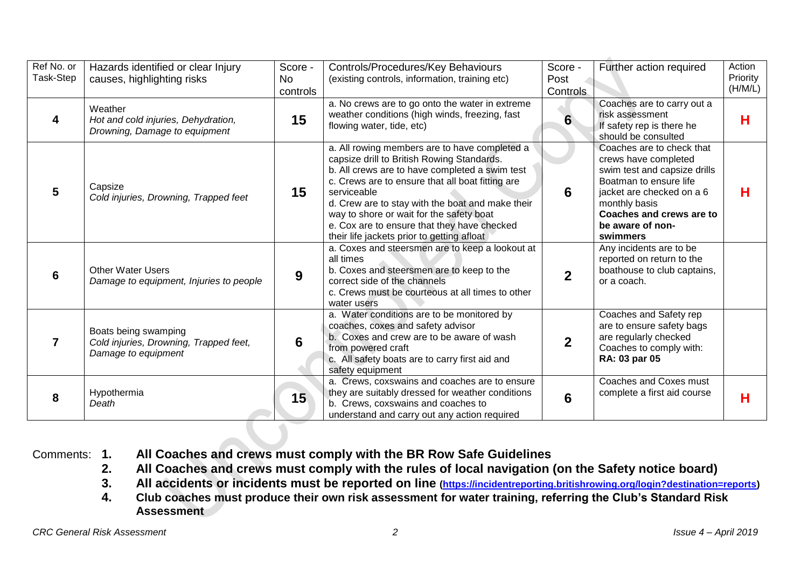| Ref No. or<br>Task-Step | Hazards identified or clear Injury<br>causes, highlighting risks                      | Score -<br><b>No</b><br>controls | Controls/Procedures/Key Behaviours<br>(existing controls, information, training etc)                                                                                                                                                                                                                                                                                                                          | Score -<br>Post<br><b>Controls</b> | Further action required                                                                                                                                                                                               | Action<br>Priority<br>(H/M/L) |
|-------------------------|---------------------------------------------------------------------------------------|----------------------------------|---------------------------------------------------------------------------------------------------------------------------------------------------------------------------------------------------------------------------------------------------------------------------------------------------------------------------------------------------------------------------------------------------------------|------------------------------------|-----------------------------------------------------------------------------------------------------------------------------------------------------------------------------------------------------------------------|-------------------------------|
| 4                       | Weather<br>Hot and cold injuries, Dehydration,<br>Drowning, Damage to equipment       | 15                               | a. No crews are to go onto the water in extreme<br>weather conditions (high winds, freezing, fast<br>flowing water, tide, etc)                                                                                                                                                                                                                                                                                | 6                                  | Coaches are to carry out a<br>risk assessment<br>If safety rep is there he<br>should be consulted                                                                                                                     | н                             |
| 5                       | Capsize<br>Cold injuries, Drowning, Trapped feet                                      | 15                               | a. All rowing members are to have completed a<br>capsize drill to British Rowing Standards.<br>b. All crews are to have completed a swim test<br>c. Crews are to ensure that all boat fitting are<br>serviceable<br>d. Crew are to stay with the boat and make their<br>way to shore or wait for the safety boat<br>e. Cox are to ensure that they have checked<br>their life jackets prior to getting afloat | 6                                  | Coaches are to check that<br>crews have completed<br>swim test and capsize drills<br>Boatman to ensure life<br>jacket are checked on a 6<br>monthly basis<br>Coaches and crews are to<br>be aware of non-<br>swimmers | н                             |
| 6                       | <b>Other Water Users</b><br>Damage to equipment, Injuries to people                   | 9                                | a. Coxes and steersmen are to keep a lookout at<br>all times<br>b. Coxes and steersmen are to keep to the<br>correct side of the channels<br>c. Crews must be courteous at all times to other<br>water users                                                                                                                                                                                                  | $\overline{2}$                     | Any incidents are to be<br>reported on return to the<br>boathouse to club captains,<br>or a coach.                                                                                                                    |                               |
|                         | Boats being swamping<br>Cold injuries, Drowning, Trapped feet,<br>Damage to equipment | 6                                | a. Water conditions are to be monitored by<br>coaches, coxes and safety advisor<br>b. Coxes and crew are to be aware of wash<br>from powered craft<br>c. All safety boats are to carry first aid and<br>safety equipment                                                                                                                                                                                      | $\mathbf 2$                        | Coaches and Safety rep<br>are to ensure safety bags<br>are regularly checked<br>Coaches to comply with:<br>RA: 03 par 05                                                                                              |                               |
| 8                       | Hypothermia<br>Death                                                                  | 15                               | a. Crews, coxswains and coaches are to ensure<br>they are suitably dressed for weather conditions<br>b. Crews, coxswains and coaches to<br>understand and carry out any action required                                                                                                                                                                                                                       | 6                                  | Coaches and Coxes must<br>complete a first aid course                                                                                                                                                                 | н                             |

## Comments: **1. All Coaches and crews must comply with the BR Row Safe Guidelines**

- **2. All Coaches and crews must comply with the rules of local navigation (on the Safety notice board)**
- **3. All accidents or incidents must be reported on line [\(https://incidentreporting.britishrowing.org/login?destination=reports\)](https://incidentreporting.britishrowing.org/login?destination=reports)**
- **4. Club coaches must produce their own risk assessment for water training, referring the Club's Standard Risk Assessment**